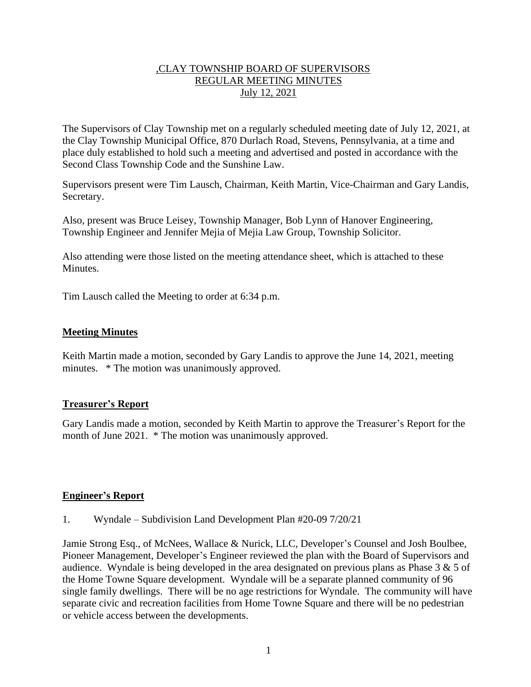### ,CLAY TOWNSHIP BOARD OF SUPERVISORS REGULAR MEETING MINUTES July 12, 2021

The Supervisors of Clay Township met on a regularly scheduled meeting date of July 12, 2021, at the Clay Township Municipal Office, 870 Durlach Road, Stevens, Pennsylvania, at a time and place duly established to hold such a meeting and advertised and posted in accordance with the Second Class Township Code and the Sunshine Law.

Supervisors present were Tim Lausch, Chairman, Keith Martin, Vice-Chairman and Gary Landis, Secretary.

Also, present was Bruce Leisey, Township Manager, Bob Lynn of Hanover Engineering, Township Engineer and Jennifer Mejia of Mejia Law Group, Township Solicitor.

Also attending were those listed on the meeting attendance sheet, which is attached to these Minutes.

Tim Lausch called the Meeting to order at 6:34 p.m.

#### **Meeting Minutes**

Keith Martin made a motion, seconded by Gary Landis to approve the June 14, 2021, meeting minutes. \* The motion was unanimously approved.

#### **Treasurer's Report**

Gary Landis made a motion, seconded by Keith Martin to approve the Treasurer's Report for the month of June 2021. \* The motion was unanimously approved.

#### **Engineer's Report**

1. Wyndale – Subdivision Land Development Plan #20-09 7/20/21

Jamie Strong Esq., of McNees, Wallace & Nurick, LLC, Developer's Counsel and Josh Boulbee, Pioneer Management, Developer's Engineer reviewed the plan with the Board of Supervisors and audience. Wyndale is being developed in the area designated on previous plans as Phase 3 & 5 of the Home Towne Square development. Wyndale will be a separate planned community of 96 single family dwellings. There will be no age restrictions for Wyndale. The community will have separate civic and recreation facilities from Home Towne Square and there will be no pedestrian or vehicle access between the developments.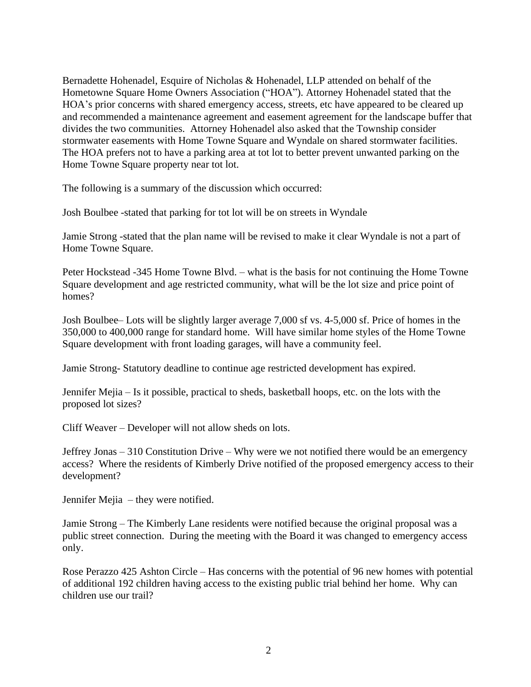Bernadette Hohenadel, Esquire of Nicholas & Hohenadel, LLP attended on behalf of the Hometowne Square Home Owners Association ("HOA"). Attorney Hohenadel stated that the HOA's prior concerns with shared emergency access, streets, etc have appeared to be cleared up and recommended a maintenance agreement and easement agreement for the landscape buffer that divides the two communities. Attorney Hohenadel also asked that the Township consider stormwater easements with Home Towne Square and Wyndale on shared stormwater facilities. The HOA prefers not to have a parking area at tot lot to better prevent unwanted parking on the Home Towne Square property near tot lot.

The following is a summary of the discussion which occurred:

Josh Boulbee -stated that parking for tot lot will be on streets in Wyndale

Jamie Strong -stated that the plan name will be revised to make it clear Wyndale is not a part of Home Towne Square.

Peter Hockstead -345 Home Towne Blvd. – what is the basis for not continuing the Home Towne Square development and age restricted community, what will be the lot size and price point of homes?

Josh Boulbee– Lots will be slightly larger average 7,000 sf vs. 4-5,000 sf. Price of homes in the 350,000 to 400,000 range for standard home. Will have similar home styles of the Home Towne Square development with front loading garages, will have a community feel.

Jamie Strong- Statutory deadline to continue age restricted development has expired.

Jennifer Mejia – Is it possible, practical to sheds, basketball hoops, etc. on the lots with the proposed lot sizes?

Cliff Weaver – Developer will not allow sheds on lots.

Jeffrey Jonas – 310 Constitution Drive – Why were we not notified there would be an emergency access? Where the residents of Kimberly Drive notified of the proposed emergency access to their development?

Jennifer Mejia – they were notified.

Jamie Strong – The Kimberly Lane residents were notified because the original proposal was a public street connection. During the meeting with the Board it was changed to emergency access only.

Rose Perazzo 425 Ashton Circle – Has concerns with the potential of 96 new homes with potential of additional 192 children having access to the existing public trial behind her home. Why can children use our trail?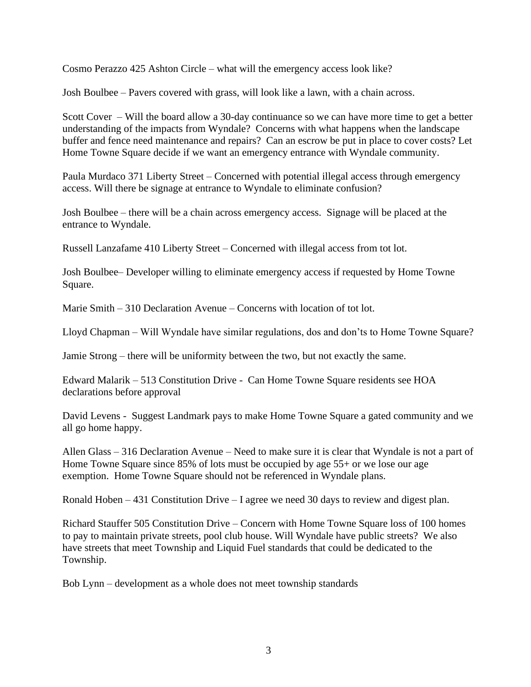Cosmo Perazzo 425 Ashton Circle – what will the emergency access look like?

Josh Boulbee – Pavers covered with grass, will look like a lawn, with a chain across.

Scott Cover – Will the board allow a 30-day continuance so we can have more time to get a better understanding of the impacts from Wyndale? Concerns with what happens when the landscape buffer and fence need maintenance and repairs? Can an escrow be put in place to cover costs? Let Home Towne Square decide if we want an emergency entrance with Wyndale community.

Paula Murdaco 371 Liberty Street – Concerned with potential illegal access through emergency access. Will there be signage at entrance to Wyndale to eliminate confusion?

Josh Boulbee – there will be a chain across emergency access. Signage will be placed at the entrance to Wyndale.

Russell Lanzafame 410 Liberty Street – Concerned with illegal access from tot lot.

Josh Boulbee– Developer willing to eliminate emergency access if requested by Home Towne Square.

Marie Smith  $-310$  Declaration Avenue – Concerns with location of tot lot.

Lloyd Chapman – Will Wyndale have similar regulations, dos and don'ts to Home Towne Square?

Jamie Strong – there will be uniformity between the two, but not exactly the same.

Edward Malarik – 513 Constitution Drive - Can Home Towne Square residents see HOA declarations before approval

David Levens - Suggest Landmark pays to make Home Towne Square a gated community and we all go home happy.

Allen Glass – 316 Declaration Avenue – Need to make sure it is clear that Wyndale is not a part of Home Towne Square since 85% of lots must be occupied by age 55+ or we lose our age exemption. Home Towne Square should not be referenced in Wyndale plans.

Ronald Hoben – 431 Constitution Drive – I agree we need 30 days to review and digest plan.

Richard Stauffer 505 Constitution Drive – Concern with Home Towne Square loss of 100 homes to pay to maintain private streets, pool club house. Will Wyndale have public streets? We also have streets that meet Township and Liquid Fuel standards that could be dedicated to the Township.

Bob Lynn – development as a whole does not meet township standards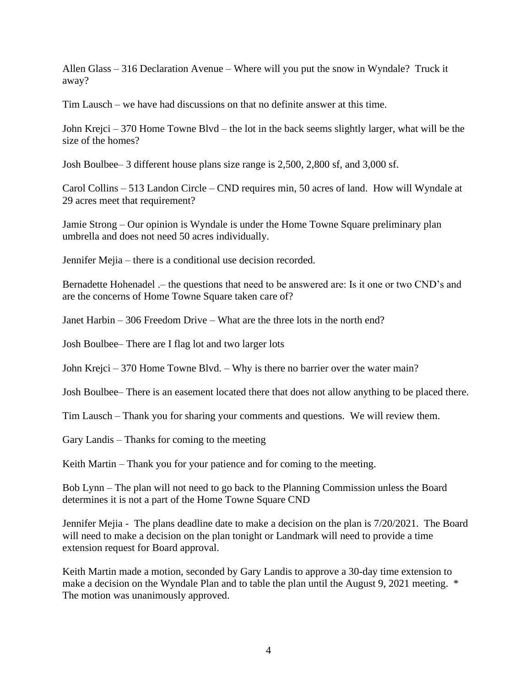Allen Glass – 316 Declaration Avenue – Where will you put the snow in Wyndale? Truck it away?

Tim Lausch – we have had discussions on that no definite answer at this time.

John Krejci – 370 Home Towne Blvd – the lot in the back seems slightly larger, what will be the size of the homes?

Josh Boulbee– 3 different house plans size range is 2,500, 2,800 sf, and 3,000 sf.

Carol Collins – 513 Landon Circle – CND requires min, 50 acres of land. How will Wyndale at 29 acres meet that requirement?

Jamie Strong – Our opinion is Wyndale is under the Home Towne Square preliminary plan umbrella and does not need 50 acres individually.

Jennifer Mejia – there is a conditional use decision recorded.

Bernadette Hohenadel .– the questions that need to be answered are: Is it one or two CND's and are the concerns of Home Towne Square taken care of?

Janet Harbin – 306 Freedom Drive – What are the three lots in the north end?

Josh Boulbee– There are I flag lot and two larger lots

John Krejci – 370 Home Towne Blvd. – Why is there no barrier over the water main?

Josh Boulbee– There is an easement located there that does not allow anything to be placed there.

Tim Lausch – Thank you for sharing your comments and questions. We will review them.

Gary Landis – Thanks for coming to the meeting

Keith Martin – Thank you for your patience and for coming to the meeting.

Bob Lynn – The plan will not need to go back to the Planning Commission unless the Board determines it is not a part of the Home Towne Square CND

Jennifer Mejia - The plans deadline date to make a decision on the plan is 7/20/2021. The Board will need to make a decision on the plan tonight or Landmark will need to provide a time extension request for Board approval.

Keith Martin made a motion, seconded by Gary Landis to approve a 30-day time extension to make a decision on the Wyndale Plan and to table the plan until the August 9, 2021 meeting.  $*$ The motion was unanimously approved.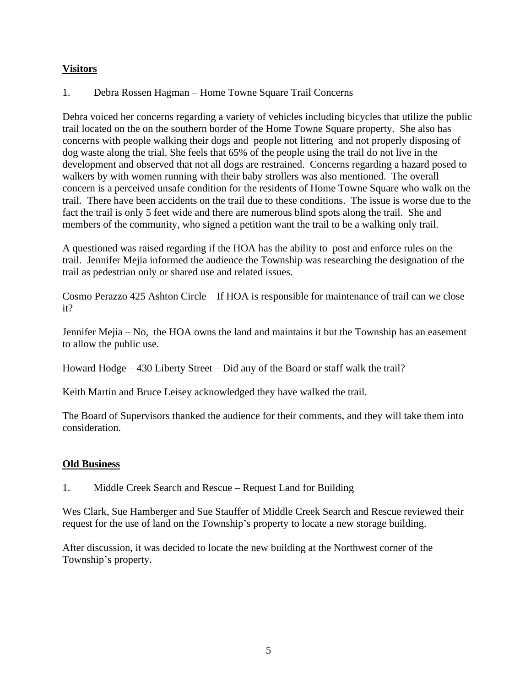# **Visitors**

1. Debra Rossen Hagman – Home Towne Square Trail Concerns

Debra voiced her concerns regarding a variety of vehicles including bicycles that utilize the public trail located on the on the southern border of the Home Towne Square property. She also has concerns with people walking their dogs and people not littering and not properly disposing of dog waste along the trial. She feels that 65% of the people using the trail do not live in the development and observed that not all dogs are restrained. Concerns regarding a hazard posed to walkers by with women running with their baby strollers was also mentioned. The overall concern is a perceived unsafe condition for the residents of Home Towne Square who walk on the trail. There have been accidents on the trail due to these conditions. The issue is worse due to the fact the trail is only 5 feet wide and there are numerous blind spots along the trail. She and members of the community, who signed a petition want the trail to be a walking only trail.

A questioned was raised regarding if the HOA has the ability to post and enforce rules on the trail. Jennifer Mejia informed the audience the Township was researching the designation of the trail as pedestrian only or shared use and related issues.

Cosmo Perazzo 425 Ashton Circle – If HOA is responsible for maintenance of trail can we close it?

Jennifer Mejia – No, the HOA owns the land and maintains it but the Township has an easement to allow the public use.

Howard Hodge – 430 Liberty Street – Did any of the Board or staff walk the trail?

Keith Martin and Bruce Leisey acknowledged they have walked the trail.

The Board of Supervisors thanked the audience for their comments, and they will take them into consideration.

## **Old Business**

1. Middle Creek Search and Rescue – Request Land for Building

Wes Clark, Sue Hamberger and Sue Stauffer of Middle Creek Search and Rescue reviewed their request for the use of land on the Township's property to locate a new storage building.

After discussion, it was decided to locate the new building at the Northwest corner of the Township's property.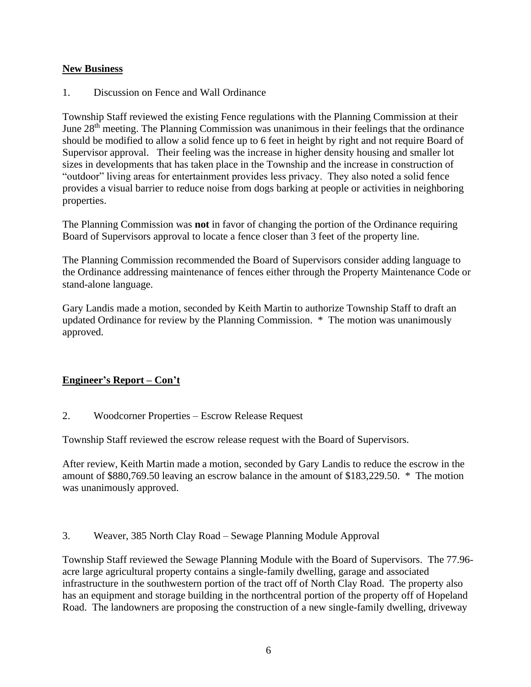### **New Business**

1. Discussion on Fence and Wall Ordinance

Township Staff reviewed the existing Fence regulations with the Planning Commission at their June 28<sup>th</sup> meeting. The Planning Commission was unanimous in their feelings that the ordinance should be modified to allow a solid fence up to 6 feet in height by right and not require Board of Supervisor approval. Their feeling was the increase in higher density housing and smaller lot sizes in developments that has taken place in the Township and the increase in construction of "outdoor" living areas for entertainment provides less privacy. They also noted a solid fence provides a visual barrier to reduce noise from dogs barking at people or activities in neighboring properties.

The Planning Commission was **not** in favor of changing the portion of the Ordinance requiring Board of Supervisors approval to locate a fence closer than 3 feet of the property line.

The Planning Commission recommended the Board of Supervisors consider adding language to the Ordinance addressing maintenance of fences either through the Property Maintenance Code or stand-alone language.

Gary Landis made a motion, seconded by Keith Martin to authorize Township Staff to draft an updated Ordinance for review by the Planning Commission. \* The motion was unanimously approved.

## **Engineer's Report – Con't**

2. Woodcorner Properties – Escrow Release Request

Township Staff reviewed the escrow release request with the Board of Supervisors.

After review, Keith Martin made a motion, seconded by Gary Landis to reduce the escrow in the amount of \$880,769.50 leaving an escrow balance in the amount of \$183,229.50. \* The motion was unanimously approved.

3. Weaver, 385 North Clay Road – Sewage Planning Module Approval

Township Staff reviewed the Sewage Planning Module with the Board of Supervisors. The 77.96 acre large agricultural property contains a single-family dwelling, garage and associated infrastructure in the southwestern portion of the tract off of North Clay Road. The property also has an equipment and storage building in the northcentral portion of the property off of Hopeland Road. The landowners are proposing the construction of a new single-family dwelling, driveway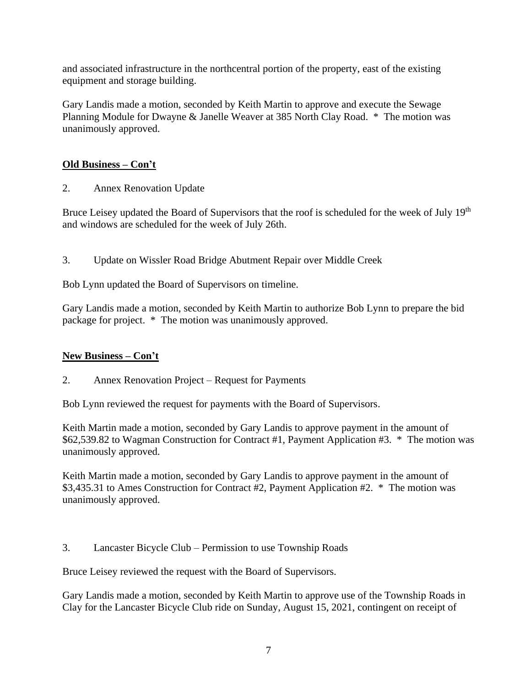and associated infrastructure in the northcentral portion of the property, east of the existing equipment and storage building.

Gary Landis made a motion, seconded by Keith Martin to approve and execute the Sewage Planning Module for Dwayne & Janelle Weaver at 385 North Clay Road. \* The motion was unanimously approved.

# **Old Business – Con't**

2. Annex Renovation Update

Bruce Leisey updated the Board of Supervisors that the roof is scheduled for the week of July 19<sup>th</sup> and windows are scheduled for the week of July 26th.

3. Update on Wissler Road Bridge Abutment Repair over Middle Creek

Bob Lynn updated the Board of Supervisors on timeline.

Gary Landis made a motion, seconded by Keith Martin to authorize Bob Lynn to prepare the bid package for project. \* The motion was unanimously approved.

## **New Business – Con't**

2. Annex Renovation Project – Request for Payments

Bob Lynn reviewed the request for payments with the Board of Supervisors.

Keith Martin made a motion, seconded by Gary Landis to approve payment in the amount of \$62,539.82 to Wagman Construction for Contract #1, Payment Application #3. \* The motion was unanimously approved.

Keith Martin made a motion, seconded by Gary Landis to approve payment in the amount of \$3,435.31 to Ames Construction for Contract #2, Payment Application #2. \* The motion was unanimously approved.

3. Lancaster Bicycle Club – Permission to use Township Roads

Bruce Leisey reviewed the request with the Board of Supervisors.

Gary Landis made a motion, seconded by Keith Martin to approve use of the Township Roads in Clay for the Lancaster Bicycle Club ride on Sunday, August 15, 2021, contingent on receipt of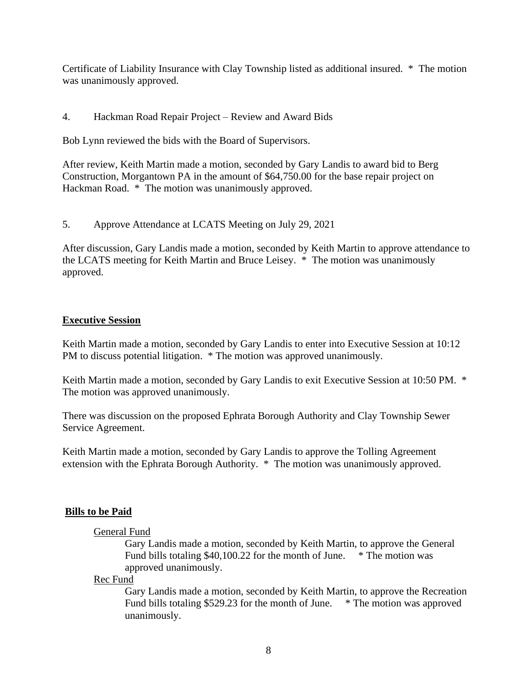Certificate of Liability Insurance with Clay Township listed as additional insured. \* The motion was unanimously approved.

# 4. Hackman Road Repair Project – Review and Award Bids

Bob Lynn reviewed the bids with the Board of Supervisors.

After review, Keith Martin made a motion, seconded by Gary Landis to award bid to Berg Construction, Morgantown PA in the amount of \$64,750.00 for the base repair project on Hackman Road. \* The motion was unanimously approved.

5. Approve Attendance at LCATS Meeting on July 29, 2021

After discussion, Gary Landis made a motion, seconded by Keith Martin to approve attendance to the LCATS meeting for Keith Martin and Bruce Leisey. \* The motion was unanimously approved.

## **Executive Session**

Keith Martin made a motion, seconded by Gary Landis to enter into Executive Session at 10:12 PM to discuss potential litigation. \* The motion was approved unanimously.

Keith Martin made a motion, seconded by Gary Landis to exit Executive Session at 10:50 PM. \* The motion was approved unanimously.

There was discussion on the proposed Ephrata Borough Authority and Clay Township Sewer Service Agreement.

Keith Martin made a motion, seconded by Gary Landis to approve the Tolling Agreement extension with the Ephrata Borough Authority. \* The motion was unanimously approved.

# **Bills to be Paid**

## General Fund

Gary Landis made a motion, seconded by Keith Martin, to approve the General Fund bills totaling \$40,100.22 for the month of June. \* The motion was approved unanimously.

Rec Fund

Gary Landis made a motion, seconded by Keith Martin, to approve the Recreation Fund bills totaling \$529.23 for the month of June. \* The motion was approved unanimously.